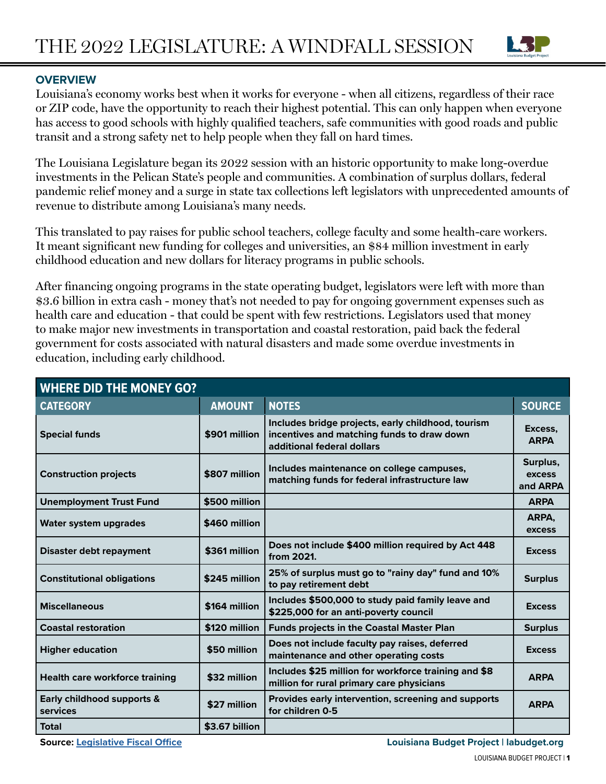

# **OVERVIEW**

Louisiana's economy works best when it works for everyone - when all citizens, regardless of their race or ZIP code, have the opportunity to reach their highest potential. This can only happen when everyone has access to good schools with highly qualified teachers, safe communities with good roads and public transit and a strong safety net to help people when they fall on hard times.

The Louisiana Legislature began its 2022 session with an historic opportunity to make long-overdue investments in the Pelican State's people and communities. A combination of surplus dollars, federal pandemic relief money and a surge in state tax collections left legislators with unprecedented amounts of revenue to distribute among Louisiana's many needs.

This translated to pay raises for public school teachers, college faculty and some health-care workers. It meant significant new funding for colleges and universities, an \$84 million investment in early childhood education and new dollars for literacy programs in public schools.

After financing ongoing programs in the state operating budget, legislators were left with more than \$3.6 billion in extra cash - money that's not needed to pay for ongoing government expenses such as health care and education - that could be spent with few restrictions. Legislators used that money to make major new investments in transportation and coastal restoration, paid back the federal government for costs associated with natural disasters and made some overdue investments in education, including early childhood.

| <b>WHERE DID THE MONEY GO?</b>         |                |                                                                                                                                |                                |
|----------------------------------------|----------------|--------------------------------------------------------------------------------------------------------------------------------|--------------------------------|
| <b>CATEGORY</b>                        | <b>AMOUNT</b>  | <b>NOTES</b>                                                                                                                   | <b>SOURCE</b>                  |
| <b>Special funds</b>                   | \$901 million  | Includes bridge projects, early childhood, tourism<br>incentives and matching funds to draw down<br>additional federal dollars | Excess,<br><b>ARPA</b>         |
| <b>Construction projects</b>           | \$807 million  | Includes maintenance on college campuses,<br>matching funds for federal infrastructure law                                     | Surplus,<br>excess<br>and ARPA |
| <b>Unemployment Trust Fund</b>         | \$500 million  |                                                                                                                                | <b>ARPA</b>                    |
| Water system upgrades                  | \$460 million  |                                                                                                                                | ARPA,<br>excess                |
| <b>Disaster debt repayment</b>         | \$361 million  | Does not include \$400 million required by Act 448<br>from 2021.                                                               | <b>Excess</b>                  |
| <b>Constitutional obligations</b>      | \$245 million  | 25% of surplus must go to "rainy day" fund and 10%<br>to pay retirement debt                                                   | <b>Surplus</b>                 |
| <b>Miscellaneous</b>                   | \$164 million  | Includes \$500,000 to study paid family leave and<br>\$225,000 for an anti-poverty council                                     | <b>Excess</b>                  |
| <b>Coastal restoration</b>             | \$120 million  | <b>Funds projects in the Coastal Master Plan</b>                                                                               | <b>Surplus</b>                 |
| <b>Higher education</b>                | \$50 million   | Does not include faculty pay raises, deferred<br>maintenance and other operating costs                                         | <b>Excess</b>                  |
| <b>Health care workforce training</b>  | \$32 million   | Includes \$25 million for workforce training and \$8<br>million for rural primary care physicians                              | <b>ARPA</b>                    |
| Early childhood supports &<br>services | \$27 million   | Provides early intervention, screening and supports<br>for children 0-5                                                        | <b>ARPA</b>                    |
| <b>Total</b>                           | \$3.67 billion |                                                                                                                                |                                |

**Source: [Legislative Fiscal Office](http://lfo.louisiana.gov/files/publications/FY%2023%20Reengrossed%20with%20Senate%20Action.pdf) Louisiana Budget Project | labudget.org**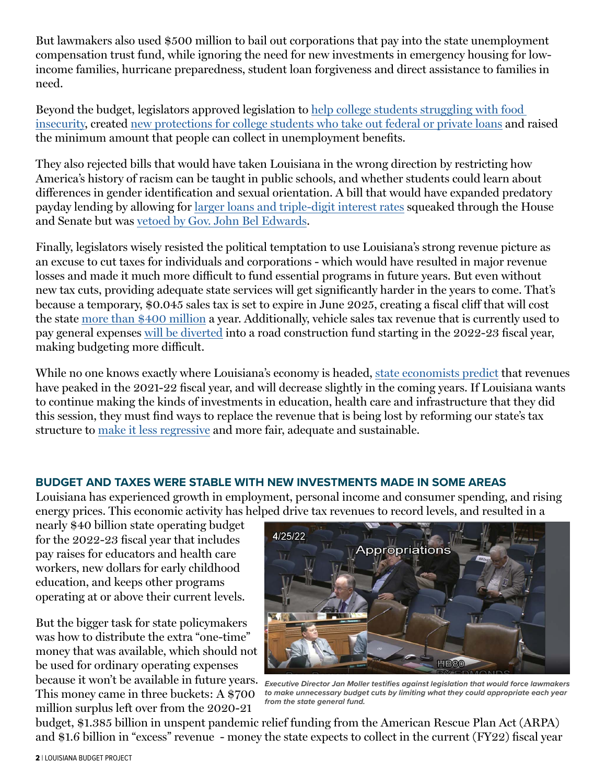But lawmakers also used \$500 million to bail out corporations that pay into the state unemployment compensation trust fund, while ignoring the need for new investments in emergency housing for lowincome families, hurricane preparedness, student loan forgiveness and direct assistance to families in need.

Beyond the budget, legislators approved legislation to [help college students struggling with food](https://www.theadvocate.com/baton_rouge/news/politics/legislature/article_b407f770-bf65-11ec-824e-bfa7013d26f2.html)  [insecurity,](https://www.theadvocate.com/baton_rouge/news/politics/legislature/article_b407f770-bf65-11ec-824e-bfa7013d26f2.html) created [new protections for college students who take out federal or private loans](https://protectborrowers.org/louisiana-legislature-votes-by-overwhelming-majority-to-pass-package-of-student-loan-borrower-protection-bills/) and raised the minimum amount that people can collect in unemployment benefits.

They also rejected bills that would have taken Louisiana in the wrong direction by restricting how America's history of racism can be taught in public schools, and whether students could learn about differences in gender identification and sexual orientation. A bill that would have expanded predatory payday lending by allowing for [larger loans and triple-digit interest rates](https://www.labudget.org/wp-content/uploads/2022/05/SB-381-Final-Analysis.pdf) squeaked through the House and Senate but was [vetoed by Gov. John Bel Edwards](https://www.labudget.org/2022/06/groups-praise-governors-veto-of-bill-expanding-predatory-lending/).

Finally, legislators wisely resisted the political temptation to use Louisiana's strong revenue picture as an excuse to cut taxes for individuals and corporations - which would have resulted in major revenue losses and made it much more difficult to fund essential programs in future years. But even without new tax cuts, providing adequate state services will get significantly harder in the years to come. That's because a temporary, \$0.045 sales tax is set to expire in June 2025, creating a fiscal cliff that will cost the state [more than \\$400 million](https://legis.la.gov/legis/ViewDocument.aspx?d=1105358) a year. Additionally, vehicle sales tax revenue that is currently used to pay general expenses [will be diverted](https://legis.la.gov/legis/ViewDocument.aspx?d=1234890) into a road construction fund starting in the 2022-23 fiscal year, making budgeting more difficult.

While no one knows exactly where Louisiana's economy is headed, [state economists predict](http://lfo.louisiana.gov/files/revenue/REC%20Adopted%20Forecast%205922.pdf) that revenues have peaked in the 2021-22 fiscal year, and will decrease slightly in the coming years. If Louisiana wants to continue making the kinds of investments in education, health care and infrastructure that they did this session, they must find ways to replace the revenue that is being lost by reforming our state's tax structure to [make it less regressive](https://itep.org/whopays/louisiana/) and more fair, adequate and sustainable.

## **BUDGET AND TAXES WERE STABLE WITH NEW INVESTMENTS MADE IN SOME AREAS**

Louisiana has experienced growth in employment, personal income and consumer spending, and rising energy prices. This economic activity has helped drive tax revenues to record levels, and resulted in a

nearly \$40 billion state operating budget for the 2022-23 fiscal year that includes pay raises for educators and health care workers, new dollars for early childhood education, and keeps other programs operating at or above their current levels.

But the bigger task for state policymakers was how to distribute the extra "one-time" money that was available, which should not be used for ordinary operating expenses because it won't be available in future years. This money came in three buckets: A \$700 million surplus left over from the 2020-21



*Executive Director Jan Moller testifies against legislation that would force lawmakers to make unnecessary budget cuts by limiting what they could appropriate each year from the state general fund.* 

budget, \$1.385 billion in unspent pandemic relief funding from the American Rescue Plan Act (ARPA) and \$1.6 billion in "excess" revenue - money the state expects to collect in the current (FY22) fiscal year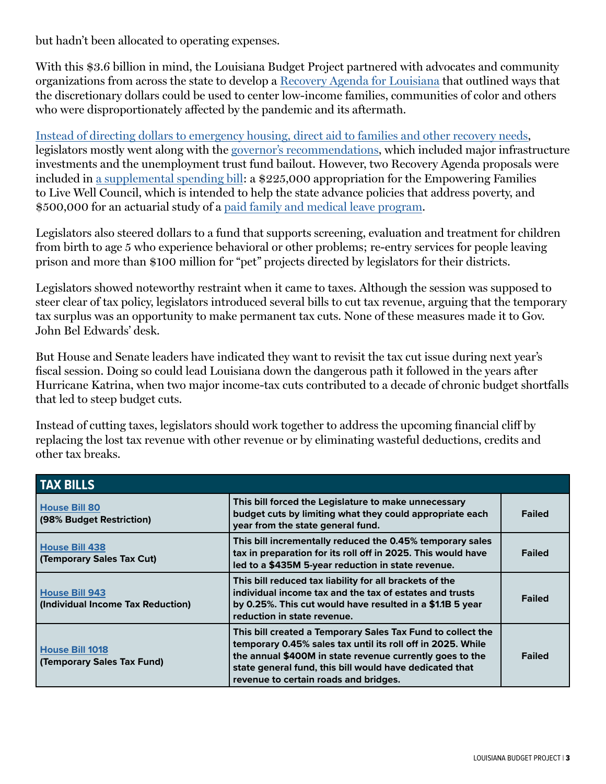but hadn't been allocated to operating expenses.

With this \$3.6 billion in mind, the Louisiana Budget Project partnered with advocates and community organizations from across the state to develop a [Recovery Agenda for Louisiana](https://www.labudget.org/wp-content/uploads/2022/03/A-Recovery-Agenda-for-Louisiana.pdf) that outlined ways that the discretionary dollars could be used to center low-income families, communities of color and others who were disproportionately affected by the pandemic and its aftermath.

[Instead of directing dollars to emergency housing, direct aid to families and other recovery needs,](https://www.labudget.org/2022/05/if-legislators-wont-invest-in-people-at-least-give-them-their-money-back/) legislators mostly went along with the [governor's recommendations,](https://lailluminator.com/2022/05/15/louisianas-latest-budget-proposal-bridges-prioritized-university-faculty-pay-raise-reduced/) which included major infrastructure investments and the unemployment trust fund bailout. However, two Recovery Agenda proposals were included in [a supplemental spending bill:](https://legis.la.gov/Legis/BillInfo.aspx?i=242400) a \$225,000 appropriation for the Empowering Families to Live Well Council, which is intended to help the state advance policies that address poverty, and \$500,000 for an actuarial study of a [paid family and medical leave program.](https://www.labudget.org/wp-content/uploads/2019/05/Building-a-Paid-Leave-Program-for-Louisiana.pdf)

Legislators also steered dollars to a fund that supports screening, evaluation and treatment for children from birth to age 5 who experience behavioral or other problems; re-entry services for people leaving prison and more than \$100 million for "pet" projects directed by legislators for their districts.

Legislators showed noteworthy restraint when it came to taxes. Although the session was supposed to steer clear of tax policy, legislators introduced several bills to cut tax revenue, arguing that the temporary tax surplus was an opportunity to make permanent tax cuts. None of these measures made it to Gov. John Bel Edwards' desk.

But House and Senate leaders have indicated they want to revisit the tax cut issue during next year's fiscal session. Doing so could lead Louisiana down the dangerous path it followed in the years after Hurricane Katrina, when two major income-tax cuts contributed to a decade of chronic budget shortfalls that led to steep budget cuts.

Instead of cutting taxes, legislators should work together to address the upcoming financial cliff by replacing the lost tax revenue with other revenue or by eliminating wasteful deductions, credits and other tax breaks.

| <b>TAX BILLS</b>                                           |                                                                                                                                                                                                                                                                                            |               |
|------------------------------------------------------------|--------------------------------------------------------------------------------------------------------------------------------------------------------------------------------------------------------------------------------------------------------------------------------------------|---------------|
| <b>House Bill 80</b><br>(98% Budget Restriction)           | This bill forced the Legislature to make unnecessary<br>budget cuts by limiting what they could appropriate each<br>year from the state general fund.                                                                                                                                      | <b>Failed</b> |
| <b>House Bill 438</b><br>(Temporary Sales Tax Cut)         | This bill incrementally reduced the 0.45% temporary sales<br>tax in preparation for its roll off in 2025. This would have<br>led to a \$435M 5-year reduction in state revenue.                                                                                                            | <b>Failed</b> |
| <b>House Bill 943</b><br>(Individual Income Tax Reduction) | This bill reduced tax liability for all brackets of the<br>individual income tax and the tax of estates and trusts<br>by 0.25%. This cut would have resulted in a \$1.1B 5 year<br>reduction in state revenue.                                                                             | <b>Failed</b> |
| <b>House Bill 1018</b><br>(Temporary Sales Tax Fund)       | This bill created a Temporary Sales Tax Fund to collect the<br>temporary 0.45% sales tax until its roll off in 2025. While<br>the annual \$400M in state revenue currently goes to the<br>state general fund, this bill would have dedicated that<br>revenue to certain roads and bridges. | <b>Failed</b> |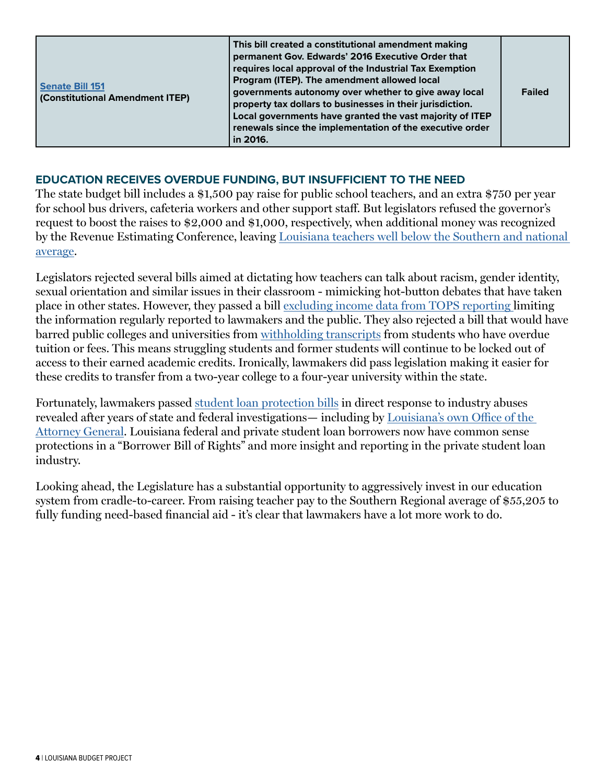| permanent Gov. Edwards' 2016 Executive Order that<br>requires local approval of the Industrial Tax Exemption<br>Program (ITEP). The amendment allowed local<br>Senate Bill 151<br>governments autonomy over whether to give away local<br><b>(Constitutional Amendment ITEP)</b><br>property tax dollars to businesses in their jurisdiction.<br>Local governments have granted the vast majority of ITEP<br>renewals since the implementation of the executive order<br>in 2016. | This bill created a constitutional amendment making<br><b>Failed</b> |
|-----------------------------------------------------------------------------------------------------------------------------------------------------------------------------------------------------------------------------------------------------------------------------------------------------------------------------------------------------------------------------------------------------------------------------------------------------------------------------------|----------------------------------------------------------------------|
|-----------------------------------------------------------------------------------------------------------------------------------------------------------------------------------------------------------------------------------------------------------------------------------------------------------------------------------------------------------------------------------------------------------------------------------------------------------------------------------|----------------------------------------------------------------------|

## **EDUCATION RECEIVES OVERDUE FUNDING, BUT INSUFFICIENT TO THE NEED**

The state budget bill includes a \$1,500 pay raise for public school teachers, and an extra \$750 per year for school bus drivers, cafeteria workers and other support staff. But legislators refused the governor's request to boost the raises to \$2,000 and \$1,000, respectively, when additional money was recognized by the Revenue Estimating Conference, leaving [Louisiana teachers well below the Southern and national](https://www.labudget.org/2022/04/louisiana-can-do-better-on-teacher-pay/)  [average.](https://www.labudget.org/2022/04/louisiana-can-do-better-on-teacher-pay/)

Legislators rejected several bills aimed at dictating how teachers can talk about racism, gender identity, sexual orientation and similar issues in their classroom - mimicking hot-button debates that have taken place in other states. However, they passed a bill [excluding income data from TOPS reporting l](https://www.labudget.org/2022/05/protect-public-access-to-tops-household-income-data/)imiting the information regularly reported to lawmakers and the public. They also rejected a bill that would have barred public colleges and universities from [withholding transcripts](https://www.labudget.org/2020/05/student-loan-reforms-are-still-needed/) from students who have overdue tuition or fees. This means struggling students and former students will continue to be locked out of access to their earned academic credits. Ironically, lawmakers did pass legislation making it easier for these credits to transfer from a two-year college to a four-year university within the state.

Fortunately, lawmakers passed [student loan protection bills](https://protectborrowers.org/louisiana-legislature-votes-by-overwhelming-majority-to-pass-package-of-student-loan-borrower-protection-bills/) in direct response to industry abuses revealed after years of state and federal investigations— including by [Louisiana's own Office of the](https://www.ag.state.la.us/Article/12991)  [Attorney General](https://www.ag.state.la.us/Article/12991). Louisiana federal and private student loan borrowers now have common sense protections in a "Borrower Bill of Rights" and more insight and reporting in the private student loan industry.

Looking ahead, the Legislature has a substantial opportunity to aggressively invest in our education system from cradle-to-career. From raising teacher pay to the Southern Regional average of \$55,205 to fully funding need-based financial aid - it's clear that lawmakers have a lot more work to do.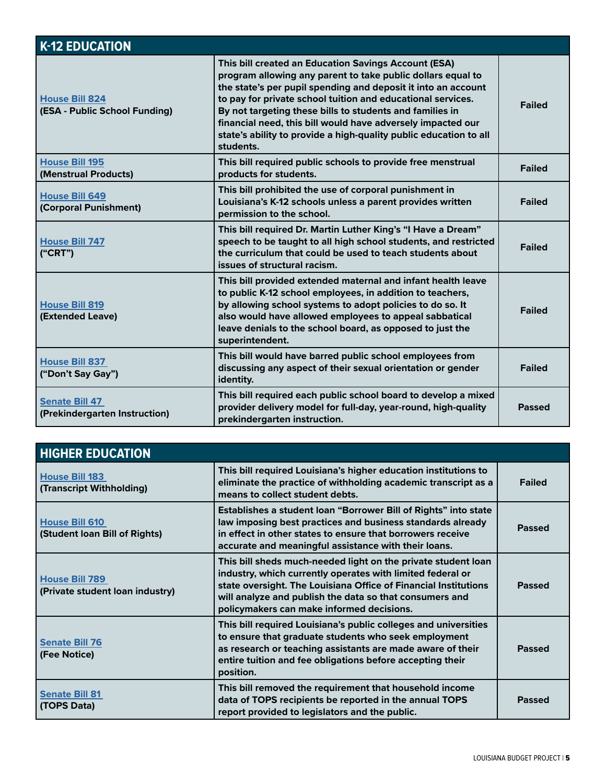| <b>K-12 EDUCATION</b>                                  |                                                                                                                                                                                                                                                                                                                                                                                                                                                                  |               |
|--------------------------------------------------------|------------------------------------------------------------------------------------------------------------------------------------------------------------------------------------------------------------------------------------------------------------------------------------------------------------------------------------------------------------------------------------------------------------------------------------------------------------------|---------------|
| <b>House Bill 824</b><br>(ESA - Public School Funding) | This bill created an Education Savings Account (ESA)<br>program allowing any parent to take public dollars equal to<br>the state's per pupil spending and deposit it into an account<br>to pay for private school tuition and educational services.<br>By not targeting these bills to students and families in<br>financial need, this bill would have adversely impacted our<br>state's ability to provide a high-quality public education to all<br>students. | <b>Failed</b> |
| <b>House Bill 195</b><br>(Menstrual Products)          | This bill required public schools to provide free menstrual<br>products for students.                                                                                                                                                                                                                                                                                                                                                                            | <b>Failed</b> |
| <b>House Bill 649</b><br>(Corporal Punishment)         | This bill prohibited the use of corporal punishment in<br>Louisiana's K-12 schools unless a parent provides written<br>permission to the school.                                                                                                                                                                                                                                                                                                                 | <b>Failed</b> |
| <b>House Bill 747</b><br>("CRT")                       | This bill required Dr. Martin Luther King's "I Have a Dream"<br>speech to be taught to all high school students, and restricted<br>the curriculum that could be used to teach students about<br>issues of structural racism.                                                                                                                                                                                                                                     | <b>Failed</b> |
| <b>House Bill 819</b><br>(Extended Leave)              | This bill provided extended maternal and infant health leave<br>to public K-12 school employees, in addition to teachers,<br>by allowing school systems to adopt policies to do so. It<br>also would have allowed employees to appeal sabbatical<br>leave denials to the school board, as opposed to just the<br>superintendent.                                                                                                                                 | <b>Failed</b> |
| <b>House Bill 837</b><br>("Don't Say Gay")             | This bill would have barred public school employees from<br>discussing any aspect of their sexual orientation or gender<br>identity.                                                                                                                                                                                                                                                                                                                             | <b>Failed</b> |
| <b>Senate Bill 47</b><br>(Prekindergarten Instruction) | This bill required each public school board to develop a mixed<br>provider delivery model for full-day, year-round, high-quality<br>prekindergarten instruction.                                                                                                                                                                                                                                                                                                 | <b>Passed</b> |

| <b>HIGHER EDUCATION</b>                                  |                                                                                                                                                                                                                                                                                                        |               |
|----------------------------------------------------------|--------------------------------------------------------------------------------------------------------------------------------------------------------------------------------------------------------------------------------------------------------------------------------------------------------|---------------|
| <b>House Bill 183</b><br>(Transcript Withholding)        | This bill required Louisiana's higher education institutions to<br>eliminate the practice of withholding academic transcript as a<br>means to collect student debts.                                                                                                                                   | <b>Failed</b> |
| <b>House Bill 610</b><br>(Student Ioan Bill of Rights)   | Establishes a student loan "Borrower Bill of Rights" into state<br>law imposing best practices and business standards already<br>in effect in other states to ensure that borrowers receive<br>accurate and meaningful assistance with their loans.                                                    | <b>Passed</b> |
| <b>House Bill 789</b><br>(Private student loan industry) | This bill sheds much-needed light on the private student loan<br>industry, which currently operates with limited federal or<br>state oversight. The Louisiana Office of Financial Institutions<br>will analyze and publish the data so that consumers and<br>policymakers can make informed decisions. | <b>Passed</b> |
| <b>Senate Bill 76</b><br>(Fee Notice)                    | This bill required Louisiana's public colleges and universities<br>to ensure that graduate students who seek employment<br>as research or teaching assistants are made aware of their<br>entire tuition and fee obligations before accepting their<br>position.                                        | <b>Passed</b> |
| <b>Senate Bill 81</b><br>(TOPS Data)                     | This bill removed the requirement that household income<br>data of TOPS recipients be reported in the annual TOPS<br>report provided to legislators and the public.                                                                                                                                    | <b>Passed</b> |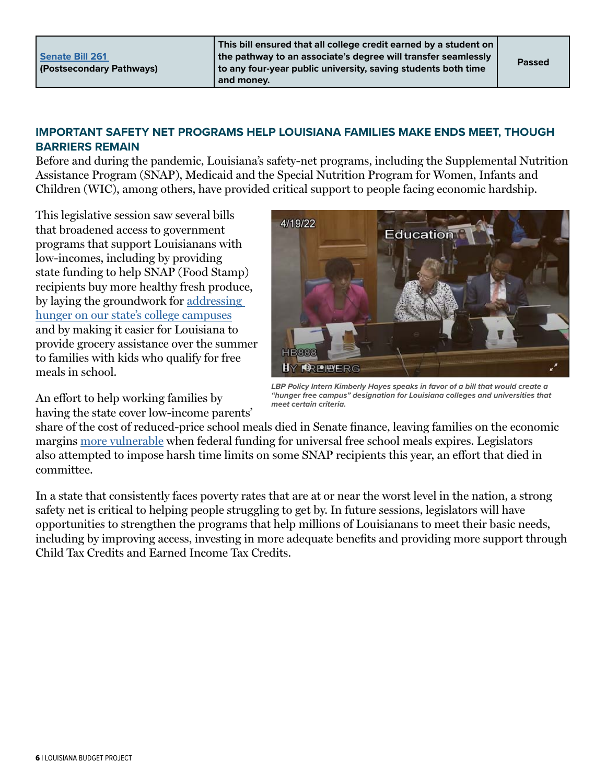# **IMPORTANT SAFETY NET PROGRAMS HELP LOUISIANA FAMILIES MAKE ENDS MEET, THOUGH BARRIERS REMAIN**

Before and during the pandemic, Louisiana's safety-net programs, including the Supplemental Nutrition Assistance Program (SNAP), Medicaid and the Special Nutrition Program for Women, Infants and Children (WIC), among others, have provided critical support to people facing economic hardship.

This legislative session saw several bills that broadened access to government programs that support Louisianans with low-incomes, including by providing state funding to help SNAP (Food Stamp) recipients buy more healthy fresh produce, by laying the groundwork for [addressing](https://www.theadvocate.com/baton_rouge/news/politics/legislature/article_b407f770-bf65-11ec-824e-bfa7013d26f2.html)  [hunger on our state's college campuses](https://www.theadvocate.com/baton_rouge/news/politics/legislature/article_b407f770-bf65-11ec-824e-bfa7013d26f2.html) and by making it easier for Louisiana to provide grocery assistance over the summer to families with kids who qualify for free meals in school.



*LBP Policy Intern Kimberly Hayes speaks in favor of a bill that would create a "hunger free campus" designation for Louisiana colleges and universities that meet certain criteria.*

An effort to help working families by

having the state cover low-income parents'

share of the cost of reduced-price school meals died in Senate finance, leaving families on the economic margins [more vulnerable](https://www.vox.com/2022/6/1/23148185/congress-school-meals-summer-hunger-inflation) when federal funding for universal free school meals expires. Legislators also attempted to impose harsh time limits on some SNAP recipients this year, an effort that died in committee.

In a state that consistently faces poverty rates that are at or near the worst level in the nation, a strong safety net is critical to helping people struggling to get by. In future sessions, legislators will have opportunities to strengthen the programs that help millions of Louisianans to meet their basic needs, including by improving access, investing in more adequate benefits and providing more support through Child Tax Credits and Earned Income Tax Credits.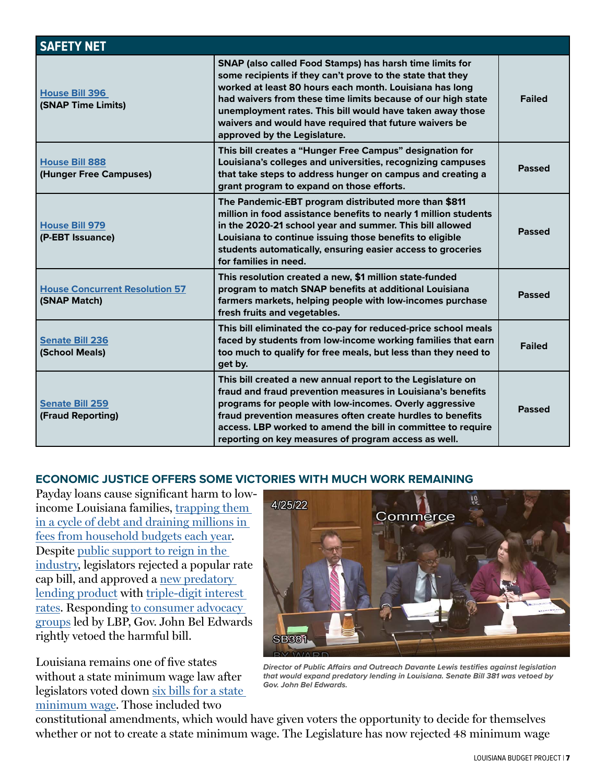| <b>SAFETY NET</b>                                     |                                                                                                                                                                                                                                                                                                                                                                                                          |               |  |
|-------------------------------------------------------|----------------------------------------------------------------------------------------------------------------------------------------------------------------------------------------------------------------------------------------------------------------------------------------------------------------------------------------------------------------------------------------------------------|---------------|--|
| <b>House Bill 396</b><br>(SNAP Time Limits)           | SNAP (also called Food Stamps) has harsh time limits for<br>some recipients if they can't prove to the state that they<br>worked at least 80 hours each month. Louisiana has long<br>had waivers from these time limits because of our high state<br>unemployment rates. This bill would have taken away those<br>waivers and would have required that future waivers be<br>approved by the Legislature. | <b>Failed</b> |  |
| <b>House Bill 888</b><br>(Hunger Free Campuses)       | This bill creates a "Hunger Free Campus" designation for<br>Louisiana's colleges and universities, recognizing campuses<br>that take steps to address hunger on campus and creating a<br>grant program to expand on those efforts.                                                                                                                                                                       | <b>Passed</b> |  |
| <b>House Bill 979</b><br>(P-EBT Issuance)             | The Pandemic-EBT program distributed more than \$811<br>million in food assistance benefits to nearly 1 million students<br>in the 2020-21 school year and summer. This bill allowed<br>Louisiana to continue issuing those benefits to eligible<br>students automatically, ensuring easier access to groceries<br>for families in need.                                                                 | <b>Passed</b> |  |
| <b>House Concurrent Resolution 57</b><br>(SNAP Match) | This resolution created a new, \$1 million state-funded<br>program to match SNAP benefits at additional Louisiana<br>farmers markets, helping people with low-incomes purchase<br>fresh fruits and vegetables.                                                                                                                                                                                           | <b>Passed</b> |  |
| <b>Senate Bill 236</b><br>(School Meals)              | This bill eliminated the co-pay for reduced-price school meals<br>faced by students from low-income working families that earn<br>too much to qualify for free meals, but less than they need to<br>get by.                                                                                                                                                                                              | <b>Failed</b> |  |
| <b>Senate Bill 259</b><br>(Fraud Reporting)           | This bill created a new annual report to the Legislature on<br>fraud and fraud prevention measures in Louisiana's benefits<br>programs for people with low-incomes. Overly aggressive<br>fraud prevention measures often create hurdles to benefits<br>access. LBP worked to amend the bill in committee to require<br>reporting on key measures of program access as well.                              | <b>Passed</b> |  |

#### **ECONOMIC JUSTICE OFFERS SOME VICTORIES WITH MUCH WORK REMAINING**

Payday loans cause significant harm to lowincome Louisiana families, [trapping them](https://www.labudget.org/2022/04/payday-lending-traps-louisianans-in-triple-digit-interest-debt/)  [in a cycle of debt and draining millions in](https://www.labudget.org/2022/04/payday-lending-traps-louisianans-in-triple-digit-interest-debt/)  [fees from household budgets each year.](https://www.labudget.org/2022/04/payday-lending-traps-louisianans-in-triple-digit-interest-debt/) Despite [public support to reign in the](https://www.labudget.org/wp-content/uploads/2022/04/CRL-LA-Fact-Sheet-3.21.22.pdf)  [industry,](https://www.labudget.org/wp-content/uploads/2022/04/CRL-LA-Fact-Sheet-3.21.22.pdf) legislators rejected a popular rate cap bill, and approved a [new predatory](https://www.theadvocate.com/baton_rouge/opinion/our_views/article_ac36d7de-ddd1-11ec-8ed5-9f37eecb95ca.html)  [lending product](https://www.theadvocate.com/baton_rouge/opinion/our_views/article_ac36d7de-ddd1-11ec-8ed5-9f37eecb95ca.html) with [triple-digit interest](https://www.labudget.org/wp-content/uploads/2022/05/SB-381-Final-Analysis.pdf)  [rates.](https://www.labudget.org/wp-content/uploads/2022/05/SB-381-Final-Analysis.pdf) Responding [to consumer advocacy](https://www.theadvocate.com/baton_rouge/news/politics/legislature/article_52a1aeae-dd33-11ec-92e0-470c8b662e48.html)  [groups](https://www.theadvocate.com/baton_rouge/news/politics/legislature/article_52a1aeae-dd33-11ec-92e0-470c8b662e48.html) led by LBP, Gov. John Bel Edwards rightly vetoed the harmful bill.

Louisiana remains one of five states without a state minimum wage law after legislators voted down [six bills for a state](https://www.labudget.org/2022/04/its-time-for-louisiana-to-raise-the-wage/)  [minimum wage](https://www.labudget.org/2022/04/its-time-for-louisiana-to-raise-the-wage/). Those included two



*Director of Public Affairs and Outreach Davante Lewis testifies against legislation that would expand predatory lending in Louisiana. Senate Bill 381 was vetoed by Gov. John Bel Edwards.* 

constitutional amendments, which would have given voters the opportunity to decide for themselves whether or not to create a state minimum wage. The Legislature has now rejected 48 minimum wage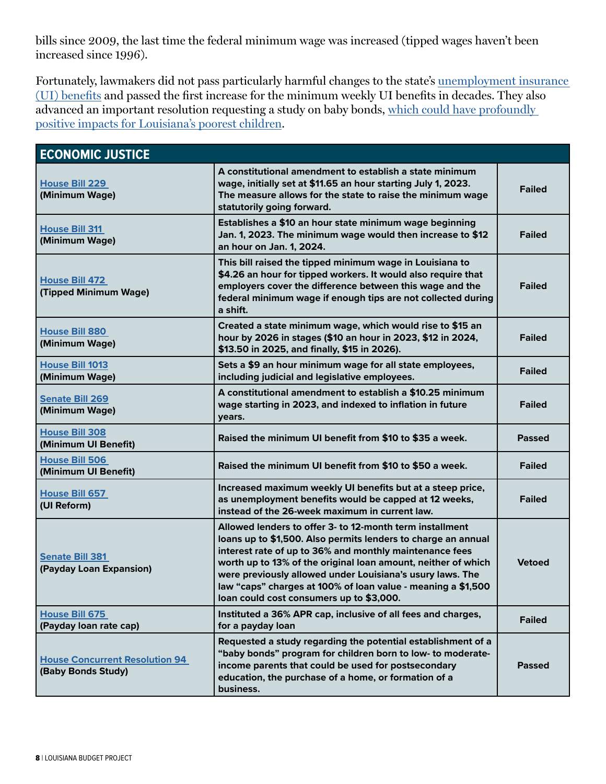bills since 2009, the last time the federal minimum wage was increased (tipped wages haven't been increased since 1996).

Fortunately, lawmakers did not pass particularly harmful changes to the state's [unemployment insurance](https://www.labudget.org/2022/04/legislature-must-avoid-ui-reforms-that-hurt-workers/)  [\(UI\) benefits](https://www.labudget.org/2022/04/legislature-must-avoid-ui-reforms-that-hurt-workers/) and passed the first increase for the minimum weekly UI benefits in decades. They also advanced an important resolution requesting a study on baby bonds, [which could have profoundly](https://www.labudget.org/2022/05/baby-bonds-could-start-to-close-the-racial-wealth-gap/)  [positive impacts for Louisiana's poorest children.](https://www.labudget.org/2022/05/baby-bonds-could-start-to-close-the-racial-wealth-gap/)

| <b>ECONOMIC JUSTICE</b>                                     |                                                                                                                                                                                                                                                                                                                                                                                                                                |               |
|-------------------------------------------------------------|--------------------------------------------------------------------------------------------------------------------------------------------------------------------------------------------------------------------------------------------------------------------------------------------------------------------------------------------------------------------------------------------------------------------------------|---------------|
| <b>House Bill 229</b><br>(Minimum Wage)                     | A constitutional amendment to establish a state minimum<br>wage, initially set at \$11.65 an hour starting July 1, 2023.<br>The measure allows for the state to raise the minimum wage<br>statutorily going forward.                                                                                                                                                                                                           | <b>Failed</b> |
| <b>House Bill 311</b><br>(Minimum Wage)                     | Establishes a \$10 an hour state minimum wage beginning<br>Jan. 1, 2023. The minimum wage would then increase to \$12<br>an hour on Jan. 1, 2024.                                                                                                                                                                                                                                                                              | <b>Failed</b> |
| <b>House Bill 472</b><br>(Tipped Minimum Wage)              | This bill raised the tipped minimum wage in Louisiana to<br>\$4.26 an hour for tipped workers. It would also require that<br>employers cover the difference between this wage and the<br>federal minimum wage if enough tips are not collected during<br>a shift.                                                                                                                                                              | <b>Failed</b> |
| <b>House Bill 880</b><br>(Minimum Wage)                     | Created a state minimum wage, which would rise to \$15 an<br>hour by 2026 in stages (\$10 an hour in 2023, \$12 in 2024,<br>\$13.50 in 2025, and finally, \$15 in 2026).                                                                                                                                                                                                                                                       | <b>Failed</b> |
| <b>House Bill 1013</b><br>(Minimum Wage)                    | Sets a \$9 an hour minimum wage for all state employees,<br>including judicial and legislative employees.                                                                                                                                                                                                                                                                                                                      | <b>Failed</b> |
| <b>Senate Bill 269</b><br>(Minimum Wage)                    | A constitutional amendment to establish a \$10.25 minimum<br>wage starting in 2023, and indexed to inflation in future<br>years.                                                                                                                                                                                                                                                                                               | <b>Failed</b> |
| <b>House Bill 308</b><br>(Minimum UI Benefit)               | Raised the minimum UI benefit from \$10 to \$35 a week.                                                                                                                                                                                                                                                                                                                                                                        | <b>Passed</b> |
| <b>House Bill 506</b><br>(Minimum UI Benefit)               | Raised the minimum UI benefit from \$10 to \$50 a week.                                                                                                                                                                                                                                                                                                                                                                        | <b>Failed</b> |
| <b>House Bill 657</b><br>(UI Reform)                        | Increased maximum weekly UI benefits but at a steep price,<br>as unemployment benefits would be capped at 12 weeks,<br>instead of the 26-week maximum in current law.                                                                                                                                                                                                                                                          | <b>Failed</b> |
| <b>Senate Bill 381</b><br>(Payday Loan Expansion)           | Allowed lenders to offer 3- to 12-month term installment<br>loans up to \$1,500. Also permits lenders to charge an annual<br>interest rate of up to 36% and monthly maintenance fees<br>worth up to 13% of the original loan amount, neither of which<br>were previously allowed under Louisiana's usury laws. The<br>law "caps" charges at 100% of loan value - meaning a \$1,500<br>loan could cost consumers up to \$3,000. | <b>Vetoed</b> |
| <b>House Bill 675</b><br>(Payday loan rate cap)             | Instituted a 36% APR cap, inclusive of all fees and charges,<br>for a payday loan                                                                                                                                                                                                                                                                                                                                              | <b>Failed</b> |
| <b>House Concurrent Resolution 94</b><br>(Baby Bonds Study) | Requested a study regarding the potential establishment of a<br>"baby bonds" program for children born to low- to moderate-<br>income parents that could be used for postsecondary<br>education, the purchase of a home, or formation of a<br>business.                                                                                                                                                                        | <b>Passed</b> |